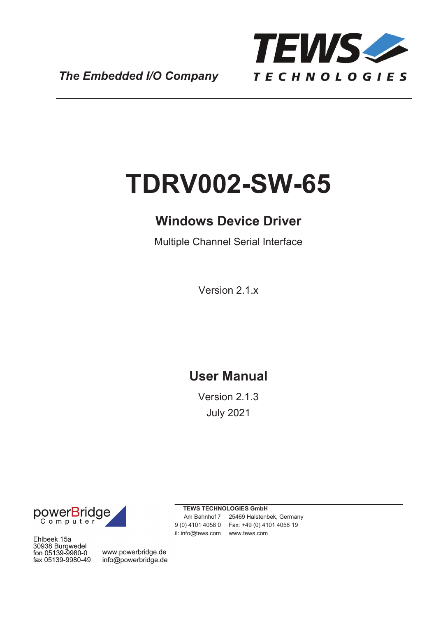

*The Embedded I/O Company*

# **TDRV002-SW-65**

## **Windows Device Driver**

Multiple Channel Serial Interface

Version 2.1.x

## **User Manual**

Version 2.1.3 July 2021

**TEWS TECHNOLOGIES GmbH**



Am Bahnhof 7 25469 Halstenbek, Germany 9 (0) 4101 4058 0 Fax: +49 (0) 4101 4058 19 il: info@tews.com www.tews.com

Ehlbeek 15a 30938 Burgwedel fon 05139-9980-0 fax 05139-9980-49

www.powerbridge.de info@powerbridge.de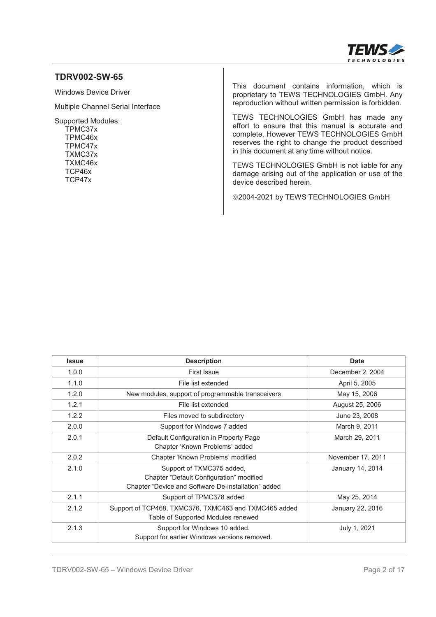

#### **TDRV002-SW-65**

Windows Device Driver

Multiple Channel Serial Interface

Supported Modules: TPMC37x TPMC46x TPMC47x TXMC37x TXMC46x TCP46x TCP47x

This document contains information, which is proprietary to TEWS TECHNOLOGIES GmbH. Any reproduction without written permission is forbidden.

TEWS TECHNOLOGIES GmbH has made any effort to ensure that this manual is accurate and complete. However TEWS TECHNOLOGIES GmbH reserves the right to change the product described in this document at any time without notice.

TEWS TECHNOLOGIES GmbH is not liable for any damage arising out of the application or use of the device described herein.

©2004-2021 by TEWS TECHNOLOGIES GmbH

| <b>Issue</b> | <b>Description</b>                                                                                                           | <b>Date</b>       |
|--------------|------------------------------------------------------------------------------------------------------------------------------|-------------------|
| 1.0.0        | First Issue                                                                                                                  | December 2, 2004  |
| 1.1.0        | File list extended                                                                                                           | April 5, 2005     |
| 1.2.0        | New modules, support of programmable transceivers                                                                            | May 15, 2006      |
| 1.2.1        | File list extended                                                                                                           | August 25, 2006   |
| 1.2.2        | Files moved to subdirectory                                                                                                  | June 23, 2008     |
| 2.0.0        | Support for Windows 7 added                                                                                                  | March 9, 2011     |
| 2.0.1        | Default Configuration in Property Page<br>Chapter 'Known Problems' added                                                     | March 29, 2011    |
| 2.0.2        | Chapter 'Known Problems' modified                                                                                            | November 17, 2011 |
| 2.1.0        | Support of TXMC375 added,<br>Chapter "Default Configuration" modified<br>Chapter "Device and Software De-installation" added | January 14, 2014  |
| 2.1.1        | Support of TPMC378 added                                                                                                     | May 25, 2014      |
| 2.1.2        | Support of TCP468, TXMC376, TXMC463 and TXMC465 added<br>Table of Supported Modules renewed                                  | January 22, 2016  |
| 2.1.3        | Support for Windows 10 added.<br>Support for earlier Windows versions removed.                                               | July 1, 2021      |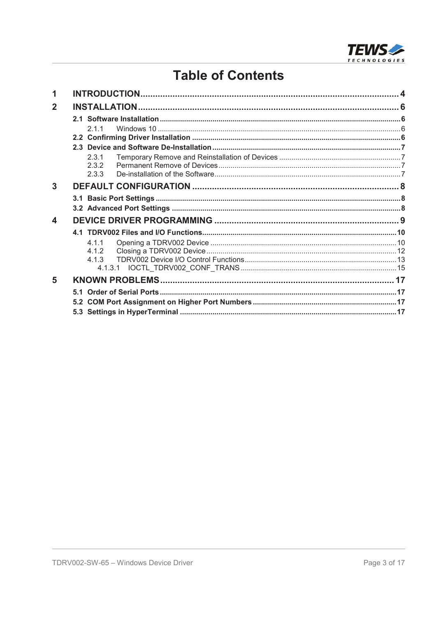

## **Table of Contents**

| 1              |       |  |
|----------------|-------|--|
| $\overline{2}$ |       |  |
|                |       |  |
|                | 211   |  |
|                |       |  |
|                |       |  |
|                | 2.3.1 |  |
|                | 2.3.2 |  |
|                | 2.3.3 |  |
| 3              |       |  |
|                |       |  |
|                |       |  |
| 4              |       |  |
|                |       |  |
|                | 4.1.1 |  |
|                | 4.1.2 |  |
|                |       |  |
|                |       |  |
| 5              |       |  |
|                |       |  |
|                |       |  |
|                |       |  |
|                |       |  |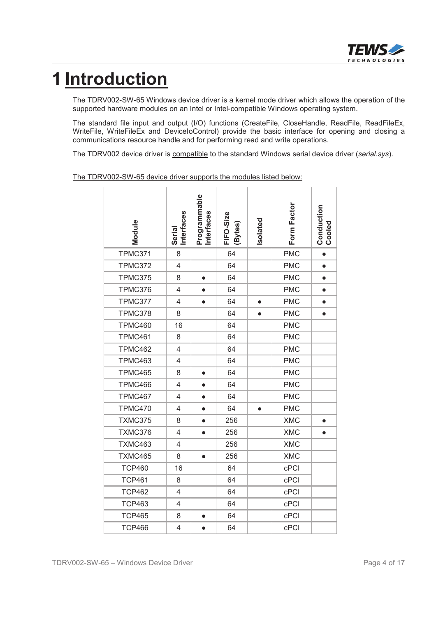

## **1 Introduction**

The TDRV002-SW-65 Windows device driver is a kernel mode driver which allows the operation of the supported hardware modules on an Intel or Intel-compatible Windows operating system.

The standard file input and output (I/O) functions (CreateFile, CloseHandle, ReadFile, ReadFileEx, WriteFile, WriteFileEx and DeviceIoControl) provide the basic interface for opening and closing a communications resource handle and for performing read and write operations.

The TDRV002 device driver is compatible to the standard Windows serial device driver (*serial.sys*).

The TDRV002-SW-65 device driver supports the modules listed below:

| Module         | Interfaces<br>Serial     | Programmable<br><b>Interfaces</b> | FIFO-Size<br>(Bytes) | Isolated  | Form Factor | <b>Conduction</b><br>Cooled |
|----------------|--------------------------|-----------------------------------|----------------------|-----------|-------------|-----------------------------|
| TPMC371        | 8                        |                                   | 64                   |           | <b>PMC</b>  | $\bullet$                   |
| <b>TPMC372</b> | $\overline{\mathcal{L}}$ |                                   | 64                   |           | <b>PMC</b>  | $\bullet$                   |
| <b>TPMC375</b> | 8                        | $\bullet$                         | 64                   |           | <b>PMC</b>  | $\bullet$                   |
| TPMC376        | 4                        | $\bullet$                         | 64                   |           | <b>PMC</b>  | $\bullet$                   |
| TPMC377        | 4                        | $\bullet$                         | 64                   | $\bullet$ | <b>PMC</b>  | $\bullet$                   |
| TPMC378        | 8                        |                                   | 64                   | $\bullet$ | <b>PMC</b>  | $\bullet$                   |
| TPMC460        | 16                       |                                   | 64                   |           | <b>PMC</b>  |                             |
| TPMC461        | 8                        |                                   | 64                   |           | <b>PMC</b>  |                             |
| TPMC462        | 4                        |                                   | 64                   |           | <b>PMC</b>  |                             |
| TPMC463        | 4                        |                                   | 64                   |           | <b>PMC</b>  |                             |
| TPMC465        | 8                        | $\bullet$                         | 64                   |           | <b>PMC</b>  |                             |
| TPMC466        | 4                        |                                   | 64                   |           | <b>PMC</b>  |                             |
| TPMC467        | 4                        |                                   | 64                   |           | <b>PMC</b>  |                             |
| TPMC470        | 4                        |                                   | 64                   | $\bullet$ | <b>PMC</b>  |                             |
| TXMC375        | 8                        | $\bullet$                         | 256                  |           | <b>XMC</b>  | $\bullet$                   |
| TXMC376        | 4                        | $\bullet$                         | 256                  |           | <b>XMC</b>  |                             |
| TXMC463        | 4                        |                                   | 256                  |           | <b>XMC</b>  |                             |
| TXMC465        | 8                        |                                   | 256                  |           | <b>XMC</b>  |                             |
| <b>TCP460</b>  | 16                       |                                   | 64                   |           | cPCI        |                             |
| <b>TCP461</b>  | 8                        |                                   | 64                   |           | cPCI        |                             |
| <b>TCP462</b>  | 4                        |                                   | 64                   |           | cPCI        |                             |
| <b>TCP463</b>  | 4                        |                                   | 64                   |           | cPCI        |                             |
| <b>TCP465</b>  | 8                        |                                   | 64                   |           | cPCI        |                             |
| <b>TCP466</b>  | 4                        |                                   | 64                   |           | cPCI        |                             |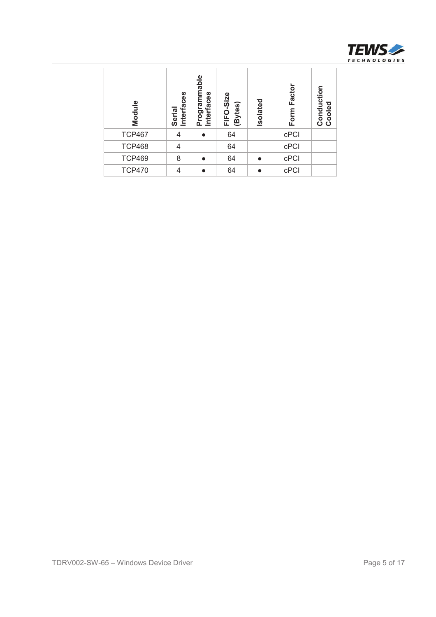

| Module                                | Serial<br>Interfaces | Programmable<br>Interfaces | FIFO-Size<br>(Bytes) | Isolated  | Form Factor | <b>Conduction</b><br>Cooled |              |
|---------------------------------------|----------------------|----------------------------|----------------------|-----------|-------------|-----------------------------|--------------|
| <b>TCP467</b>                         | $\overline{4}$       | $\bullet$                  | 64                   |           | cPCI        |                             |              |
| <b>TCP468</b>                         | $\overline{4}$       |                            | 64                   |           | $c$ PCI     |                             |              |
| <b>TCP469</b>                         | $\,8\,$              | $\bullet$                  | 64                   | $\bullet$ | $c$ PCI     |                             |              |
| <b>TCP470</b>                         | $\overline{4}$       | $\bullet$                  | 64                   | $\bullet$ | $c$ PCI     |                             |              |
|                                       |                      |                            |                      |           |             |                             |              |
| TDRV002-SW-65 - Windows Device Driver |                      |                            |                      |           |             |                             | Page 5 of 17 |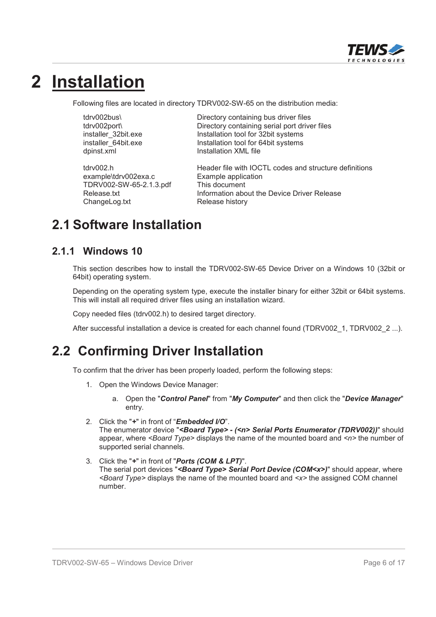

## **2 Installation**

Following files are located in directory TDRV002-SW-65 on the distribution media:

dpinst.xml **Installation XML** file

example\tdrv002exa.c Example application TDRV002-SW-65-2.1.3.pdf This document ChangeLog.txt Release history

tdrv002bus\ Directory containing bus driver files tdrv002port\ Directory containing serial port driver files installer\_32bit.exe Installation tool for 32bit systems installer\_64bit.exe Installation tool for 64bit systems

tdrv002.h Header file with IOCTL codes and structure definitions Release.txt **Information about the Device Driver Release** 

## **2.1 Software Installation**

#### **2.1.1 Windows 10**

This section describes how to install the TDRV002-SW-65 Device Driver on a Windows 10 (32bit or 64bit) operating system.

Depending on the operating system type, execute the installer binary for either 32bit or 64bit systems. This will install all required driver files using an installation wizard.

Copy needed files (tdrv002.h) to desired target directory.

After successful installation a device is created for each channel found (TDRV002 1, TDRV002 2 ...).

## **2.2 Confirming Driver Installation**

To confirm that the driver has been properly loaded, perform the following steps:

- 1. Open the Windows Device Manager:
	- a. Open the "*Control Panel*" from "*My Computer*" and then click the "*Device Manager*" entry.
- 2. Click the "*+*" in front of "*Embedded I/O*". The enumerator device "*<Board Type> - (<n> Serial Ports Enumerator (TDRV002))*" should appear, where *<Board Type>* displays the name of the mounted board and *<n>* the number of supported serial channels.
- 3. Click the "*+*" in front of "*Ports (COM & LPT)*". The serial port devices "*<Board Type> Serial Port Device (COM<x>)*" should appear, where *<Board Type>* displays the name of the mounted board and *<x>* the assigned COM channel number.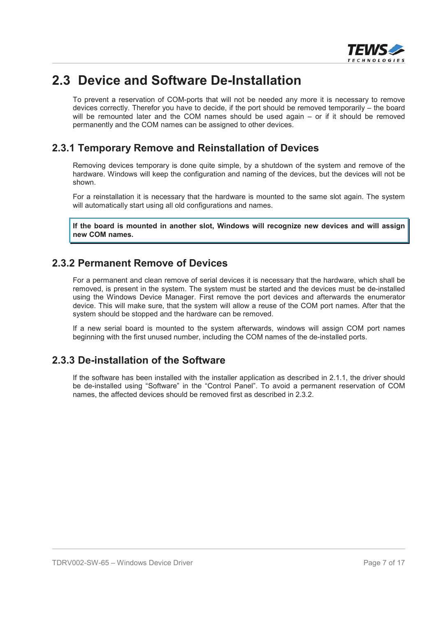

## **2.3 Device and Software De-Installation**

To prevent a reservation of COM-ports that will not be needed any more it is necessary to remove devices correctly. Therefor you have to decide, if the port should be removed temporarily – the board will be remounted later and the COM names should be used again – or if it should be removed permanently and the COM names can be assigned to other devices.

#### **2.3.1 Temporary Remove and Reinstallation of Devices**

Removing devices temporary is done quite simple, by a shutdown of the system and remove of the hardware. Windows will keep the configuration and naming of the devices, but the devices will not be shown.

For a reinstallation it is necessary that the hardware is mounted to the same slot again. The system will automatically start using all old configurations and names.

**If the board is mounted in another slot, Windows will recognize new devices and will assign new COM names.**

#### **2.3.2 Permanent Remove of Devices**

For a permanent and clean remove of serial devices it is necessary that the hardware, which shall be removed, is present in the system. The system must be started and the devices must be de-installed using the Windows Device Manager. First remove the port devices and afterwards the enumerator device. This will make sure, that the system will allow a reuse of the COM port names. After that the system should be stopped and the hardware can be removed.

If a new serial board is mounted to the system afterwards, windows will assign COM port names beginning with the first unused number, including the COM names of the de-installed ports.

#### **2.3.3 De-installation of the Software**

If the software has been installed with the installer application as described in 2.1.1, the driver should be de-installed using "Software" in the "Control Panel". To avoid a permanent reservation of COM names, the affected devices should be removed first as described in 2.3.2.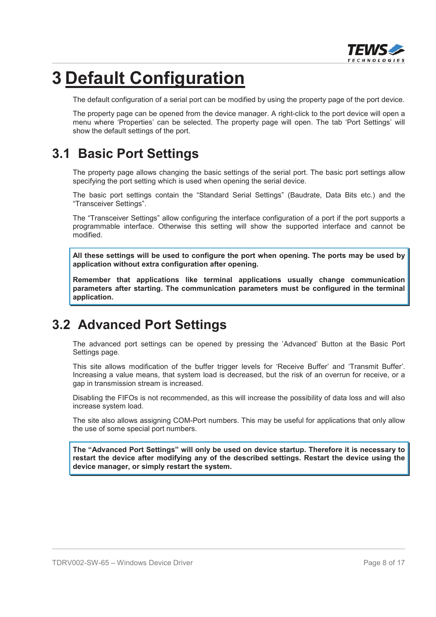

## **3 Default Configuration**

The default configuration of a serial port can be modified by using the property page of the port device.

The property page can be opened from the device manager. A right-click to the port device will open a menu where 'Properties' can be selected. The property page will open. The tab 'Port Settings' will show the default settings of the port.

## **3.1 Basic Port Settings**

The property page allows changing the basic settings of the serial port. The basic port settings allow specifying the port setting which is used when opening the serial device.

The basic port settings contain the "Standard Serial Settings" (Baudrate, Data Bits etc.) and the "Transceiver Settings".

The "Transceiver Settings" allow configuring the interface configuration of a port if the port supports a programmable interface. Otherwise this setting will show the supported interface and cannot be modified.

**All these settings will be used to configure the port when opening. The ports may be used by application without extra configuration after opening.**

**Remember that applications like terminal applications usually change communication parameters after starting. The communication parameters must be configured in the terminal application.**

## **3.2 Advanced Port Settings**

The advanced port settings can be opened by pressing the 'Advanced' Button at the Basic Port Settings page.

This site allows modification of the buffer trigger levels for 'Receive Buffer' and 'Transmit Buffer'. Increasing a value means, that system load is decreased, but the risk of an overrun for receive, or a gap in transmission stream is increased.

Disabling the FIFOs is not recommended, as this will increase the possibility of data loss and will also increase system load.

The site also allows assigning COM-Port numbers. This may be useful for applications that only allow the use of some special port numbers.

**The "Advanced Port Settings" will only be used on device startup. Therefore it is necessary to restart the device after modifying any of the described settings. Restart the device using the device manager, or simply restart the system.**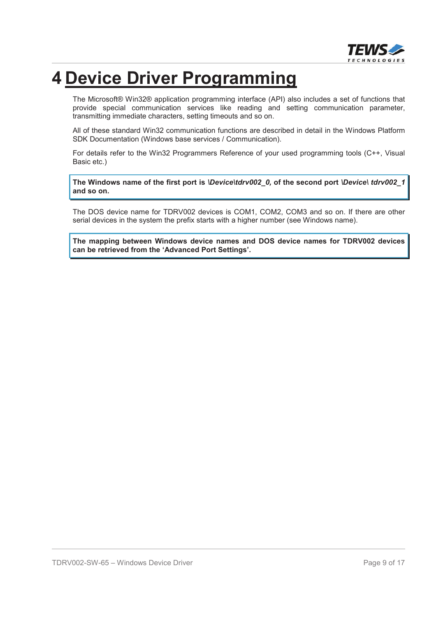

## **4 Device Driver Programming**

The Microsoft® Win32® application programming interface (API) also includes a set of functions that provide special communication services like reading and setting communication parameter, transmitting immediate characters, setting timeouts and so on.

All of these standard Win32 communication functions are described in detail in the Windows Platform SDK Documentation (Windows base services / Communication).

For details refer to the Win32 Programmers Reference of your used programming tools (C++, Visual Basic etc.)

**The Windows name of the first port is** *\Device\tdrv002\_0,* **of the second port** *\Device\ tdrv002\_1* **and so on.**

The DOS device name for TDRV002 devices is COM1, COM2, COM3 and so on. If there are other serial devices in the system the prefix starts with a higher number (see Windows name).

**The mapping between Windows device names and DOS device names for TDRV002 devices can be retrieved from the 'Advanced Port Settings'.**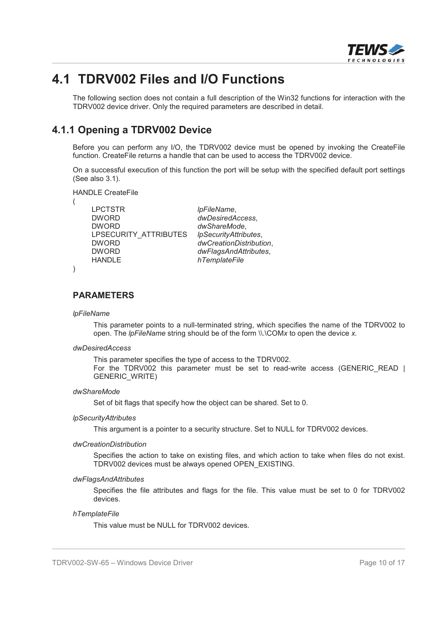

### **4.1 TDRV002 Files and I/O Functions**

The following section does not contain a full description of the Win32 functions for interaction with the TDRV002 device driver. Only the required parameters are described in detail.

#### **4.1.1 Opening a TDRV002 Device**

Before you can perform any I/O, the TDRV002 device must be opened by invoking the CreateFile function. CreateFile returns a handle that can be used to access the TDRV002 device.

On a successful execution of this function the port will be setup with the specified default port settings (See also 3.1).

HANDLE CreateFile

| LPCTSTR               | IpFileName,             |
|-----------------------|-------------------------|
| <b>DWORD</b>          | dwDesiredAccess,        |
| <b>DWORD</b>          | dwShareMode,            |
| LPSECURITY ATTRIBUTES | IpSecurityAttributes,   |
| <b>DWORD</b>          | dwCreationDistribution, |
| <b>DWORD</b>          | dwFlagsAndAttributes,   |
| <b>HANDLE</b>         | hTemplateFile           |

)

(

#### **PARAMETERS**

#### *lpFileName*

This parameter points to a null-terminated string, which specifies the name of the TDRV002 to open. The *lpFileName* string should be of the form \\.\COM*x* to open the device *x.*

#### *dwDesiredAccess*

This parameter specifies the type of access to the TDRV002. For the TDRV002 this parameter must be set to read-write access (GENERIC READ | GENERIC\_WRITE)

#### *dwShareMode*

Set of bit flags that specify how the object can be shared. Set to 0.

#### *lpSecurityAttributes*

This argument is a pointer to a security structure. Set to NULL for TDRV002 devices.

#### *dwCreationDistribution*

Specifies the action to take on existing files, and which action to take when files do not exist. TDRV002 devices must be always opened OPEN\_EXISTING.

#### *dwFlagsAndAttributes*

Specifies the file attributes and flags for the file. This value must be set to 0 for TDRV002 devices.

#### *hTemplateFile*

This value must be NULL for TDRV002 devices.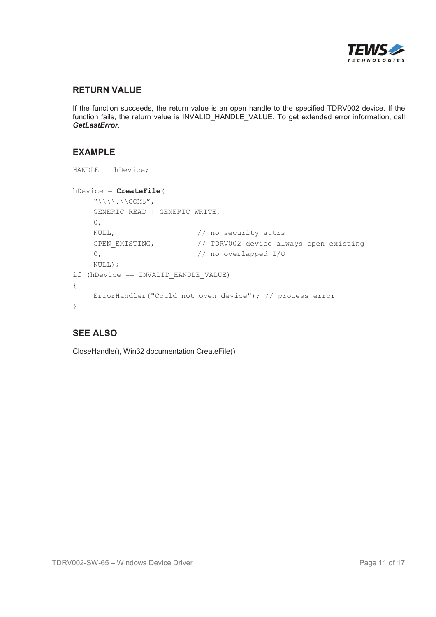

#### **RETURN VALUE**

If the function succeeds, the return value is an open handle to the specified TDRV002 device. If the function fails, the return value is INVALID\_HANDLE\_VALUE. To get extended error information, call *GetLastError*.

#### **EXAMPLE**

```
HANDLE hDevice;
hDevice = CreateFile(
     "\!\setminus\!\setminus\!\setminus\ldots\setminus\mathsf{COM5}'GENERIC READ | GENERIC WRITE,
     0,
     NULL, \frac{1}{\sqrt{2}} no security attrs
     OPEN EXISTING, \frac{1}{2} TDRV002 device always open existing
     0, // no overlapped I/O
     NULL);
if (hDevice == INVALID_HANDLE_VALUE)
{
     ErrorHandler("Could not open device"); // process error
}
```
#### **SEE ALSO**

CloseHandle(), Win32 documentation CreateFile()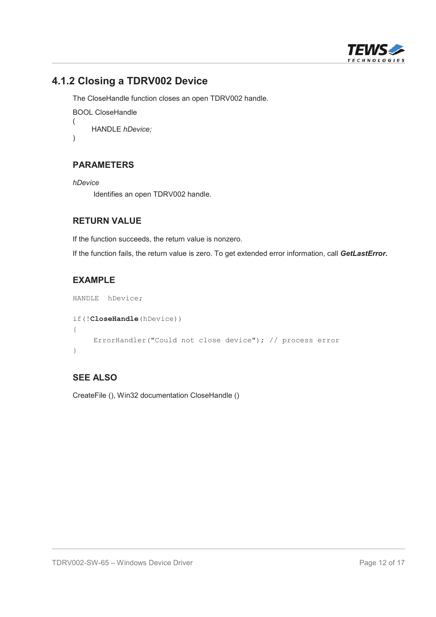

### **4.1.2 Closing a TDRV002 Device**

The CloseHandle function closes an open TDRV002 handle.

```
BOOL CloseHandle
(
    HANDLE hDevice;
)
```
#### **PARAMETERS**

```
hDevice
```
Identifies an open TDRV002 handle.

#### **RETURN VALUE**

If the function succeeds, the return value is nonzero.

If the function fails, the return value is zero. To get extended error information, call *GetLastError***.**

#### **EXAMPLE**

```
HANDLE hDevice;
if(!CloseHandle(hDevice))
{
    ErrorHandler("Could not close device"); // process error
}
```
#### **SEE ALSO**

CreateFile (), Win32 documentation CloseHandle ()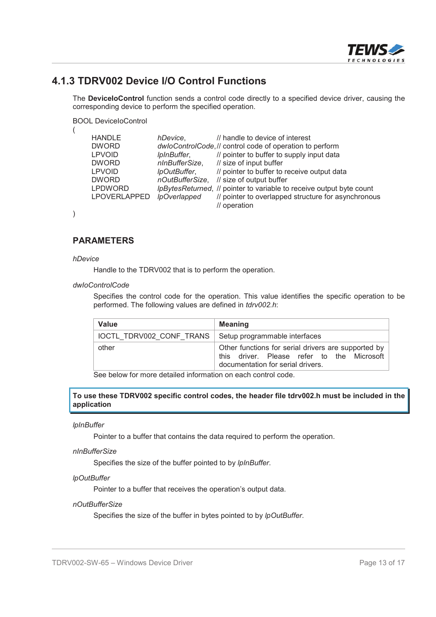

#### **4.1.3 TDRV002 Device I/O Control Functions**

The **DeviceIoControl** function sends a control code directly to a specified device driver, causing the corresponding device to perform the specified operation.

BOOL DeviceIoControl

| <b>HANDLE</b>  | hDevice,            | // handle to device of interest                                      |
|----------------|---------------------|----------------------------------------------------------------------|
| <b>DWORD</b>   |                     | dwloControlCode, // control code of operation to perform             |
| <b>LPVOID</b>  | IpInBuffer,         | // pointer to buffer to supply input data                            |
| <b>DWORD</b>   | nInBufferSize,      | // size of input buffer                                              |
| <b>LPVOID</b>  | IpOutBuffer,        | // pointer to buffer to receive output data                          |
| <b>DWORD</b>   |                     | nOutBufferSize, // size of output buffer                             |
| <b>LPDWORD</b> |                     | IpBytesReturned, // pointer to variable to receive output byte count |
| LPOVERLAPPED   | <b>IpOverlapped</b> | // pointer to overlapped structure for asynchronous                  |
|                |                     | // operation                                                         |
|                |                     |                                                                      |

)

(

#### **PARAMETERS**

#### *hDevice*

Handle to the TDRV002 that is to perform the operation.

#### *dwIoControlCode*

Specifies the control code for the operation. This value identifies the specific operation to be performed. The following values are defined in *tdrv002.h*:

| <b>Value</b>                                             | <b>Meaning</b>                                                                                                                         |
|----------------------------------------------------------|----------------------------------------------------------------------------------------------------------------------------------------|
| IOCTL TDRV002_CONF_TRANS   Setup programmable interfaces |                                                                                                                                        |
| other                                                    | Other functions for serial drivers are supported by<br>this driver. Please refer to the Microsoft<br>documentation for serial drivers. |

See below for more detailed information on each control code.

**To use these TDRV002 specific control codes, the header file tdrv002.h must be included in the application**

#### *lpInBuffer*

Pointer to a buffer that contains the data required to perform the operation.

#### *nInBufferSize*

Specifies the size of the buffer pointed to by *lpInBuffer*.

#### *lpOutBuffer*

Pointer to a buffer that receives the operation's output data.

#### *nOutBufferSize*

Specifies the size of the buffer in bytes pointed to by *lpOutBuffer*.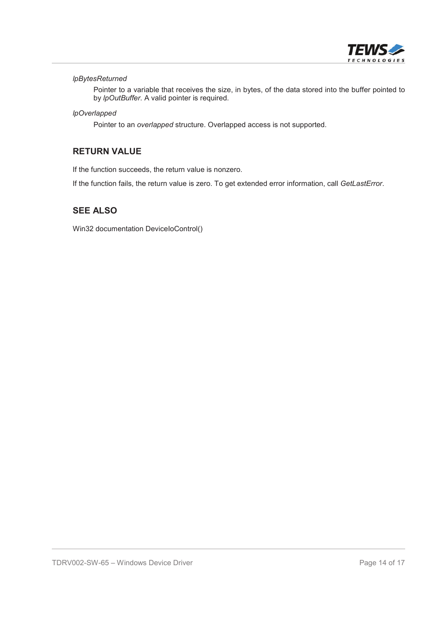

#### *lpBytesReturned*

Pointer to a variable that receives the size, in bytes, of the data stored into the buffer pointed to by *lpOutBuffer*. A valid pointer is required.

#### *lpOverlapped*

Pointer to an *overlapped* structure. Overlapped access is not supported.

#### **RETURN VALUE**

If the function succeeds, the return value is nonzero.

If the function fails, the return value is zero. To get extended error information, call *GetLastError*.

#### **SEE ALSO**

Win32 documentation DeviceIoControl()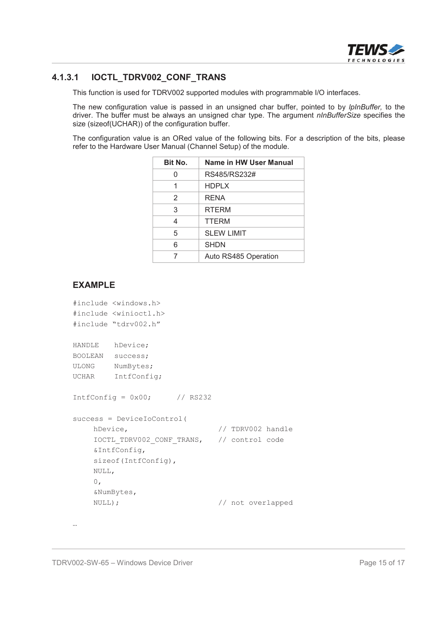

#### **4.1.3.1 IOCTL\_TDRV002\_CONF\_TRANS**

This function is used for TDRV002 supported modules with programmable I/O interfaces.

The new configuration value is passed in an unsigned char buffer, pointed to by *lpInBuffer,* to the driver. The buffer must be always an unsigned char type. The argument *nInBufferSize* specifies the size (sizeof(UCHAR)) of the configuration buffer.

The configuration value is an ORed value of the following bits. For a description of the bits, please refer to the Hardware User Manual (Channel Setup) of the module.

| Bit No. | Name in HW User Manual |
|---------|------------------------|
|         | RS485/RS232#           |
|         | <b>HDPLX</b>           |
| 2       | RENA                   |
| 3       | <b>RTERM</b>           |
| 4       | <b>TTERM</b>           |
| 5       | <b>SLEW LIMIT</b>      |
| 6       | <b>SHDN</b>            |
|         | Auto RS485 Operation   |

#### **EXAMPLE**

```
#include <windows.h>
#include <winioctl.h>
#include "tdrv002.h"
HANDLE hDevice;
BOOLEAN success;
ULONG NumBytes;
UCHAR IntfConfig;
IntfConfig = 0x00; // RS232
success = DeviceIoControl(
    hDevice, \frac{1}{2} hDevice,
    IOCTL_TDRV002_CONF_TRANS, // control code
    &IntfConfig,
    sizeof(IntfConfig),
    NULL,
    0,&NumBytes,
    NULL); \sqrt{2} // not overlapped
```
…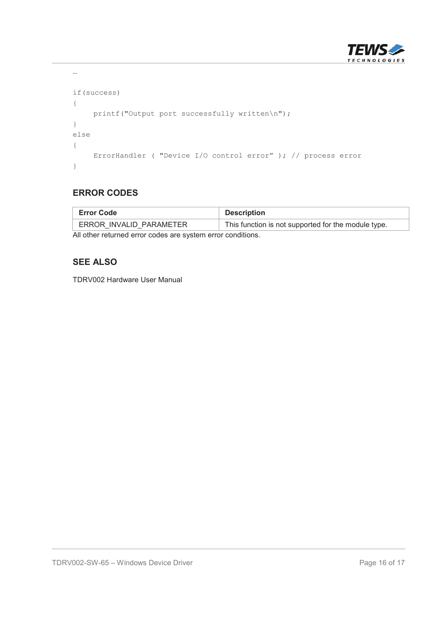

```
…
if(success)
{
   printf("Output port successfully written\n");
}
else
{
   ErrorHandler ( "Device I/O control error" ); // process error
}
```
#### **ERROR CODES**

| <b>Error Code</b>                                           | Description                                         |  |
|-------------------------------------------------------------|-----------------------------------------------------|--|
| ERROR INVALID PARAMETER                                     | This function is not supported for the module type. |  |
| All other returned error codes are system error conditions. |                                                     |  |

#### **SEE ALSO**

TDRV002 Hardware User Manual